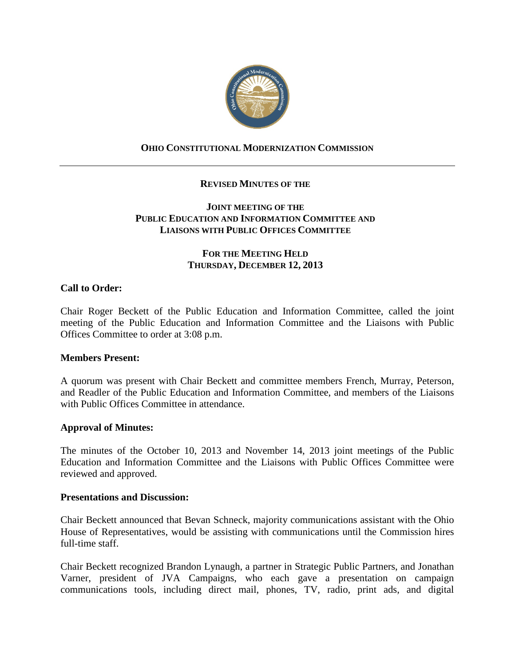

# **OHIO CONSTITUTIONAL MODERNIZATION COMMISSION**

### **REVISED MINUTES OF THE**

### **JOINT MEETING OF THE PUBLIC EDUCATION AND INFORMATION COMMITTEE AND LIAISONS WITH PUBLIC OFFICES COMMITTEE**

### **FOR THE MEETING HELD THURSDAY, DECEMBER 12, 2013**

### **Call to Order:**

Chair Roger Beckett of the Public Education and Information Committee, called the joint meeting of the Public Education and Information Committee and the Liaisons with Public Offices Committee to order at 3:08 p.m.

#### **Members Present:**

A quorum was present with Chair Beckett and committee members French, Murray, Peterson, and Readler of the Public Education and Information Committee, and members of the Liaisons with Public Offices Committee in attendance.

#### **Approval of Minutes:**

The minutes of the October 10, 2013 and November 14, 2013 joint meetings of the Public Education and Information Committee and the Liaisons with Public Offices Committee were reviewed and approved.

#### **Presentations and Discussion:**

Chair Beckett announced that Bevan Schneck, majority communications assistant with the Ohio House of Representatives, would be assisting with communications until the Commission hires full-time staff.

Chair Beckett recognized Brandon Lynaugh, a partner in Strategic Public Partners, and Jonathan Varner, president of JVA Campaigns, who each gave a presentation on campaign communications tools, including direct mail, phones, TV, radio, print ads, and digital